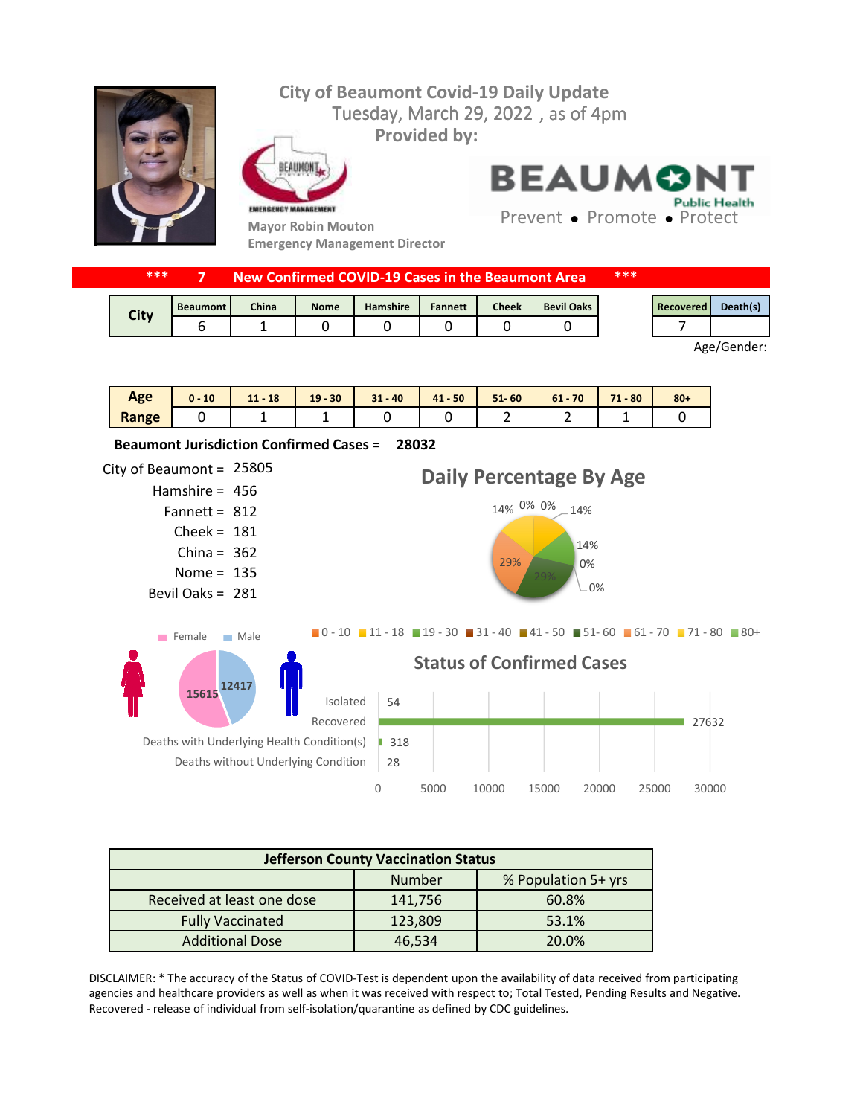

| ***<br>New Confirmed COVID-19 Cases in the Beaumont Area. |                 |              |             |                 | ***            |              |                   |  |           |          |
|-----------------------------------------------------------|-----------------|--------------|-------------|-----------------|----------------|--------------|-------------------|--|-----------|----------|
| City                                                      | <b>Beaumont</b> | <b>China</b> | <b>Nome</b> | <b>Hamshire</b> | <b>Fannett</b> | <b>Cheek</b> | <b>Bevil Oaks</b> |  | Recovered | Death(s) |
|                                                           |                 |              |             |                 |                |              |                   |  |           |          |

Age/Gender:

| Age   | 10 | $-18$<br>11 <sub>1</sub> | $19 - 30$ | $31 - 40$ | $41 - 50$ | $51 - 60$ | 70<br>$61 -$ | 71<br>$-80$<br>. . | $80 +$ |
|-------|----|--------------------------|-----------|-----------|-----------|-----------|--------------|--------------------|--------|
| Range |    | -<br>-                   | -         |           |           | -         | -            | -                  |        |



| <b>Jefferson County Vaccination Status</b> |         |                     |  |  |  |  |  |
|--------------------------------------------|---------|---------------------|--|--|--|--|--|
|                                            | Number  | % Population 5+ yrs |  |  |  |  |  |
| Received at least one dose                 | 141,756 | 60.8%               |  |  |  |  |  |
| <b>Fully Vaccinated</b>                    | 123,809 | 53.1%               |  |  |  |  |  |
| <b>Additional Dose</b>                     | 46,534  | 20.0%               |  |  |  |  |  |

DISCLAIMER: \* The accuracy of the Status of COVID-Test is dependent upon the availability of data received from participating agencies and healthcare providers as well as when it was received with respect to; Total Tested, Pending Results and Negative. Recovered - release of individual from self-isolation/quarantine as defined by CDC guidelines.